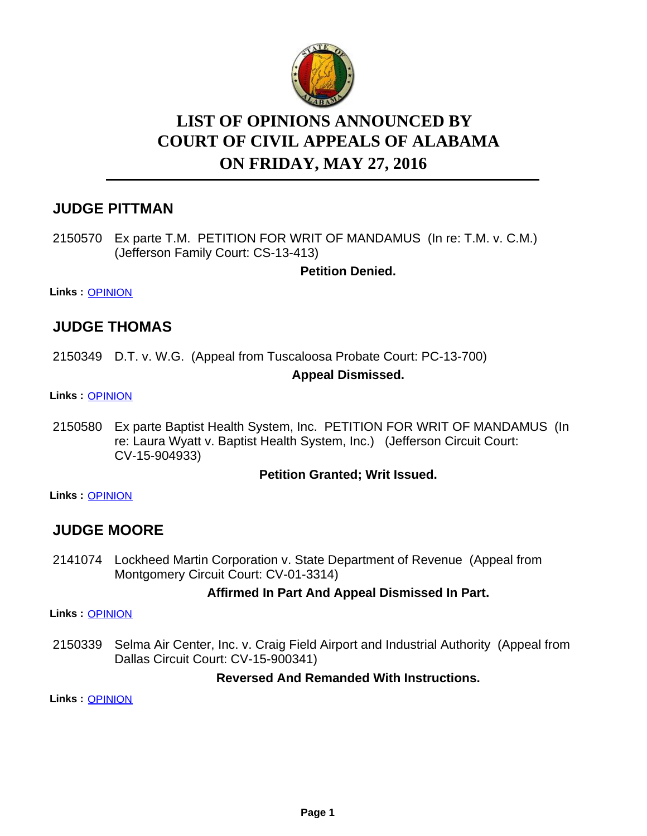

# **LIST OF OPINIONS ANNOUNCED BY ON FRIDAY, MAY 27, 2016 COURT OF CIVIL APPEALS OF ALABAMA**

# **JUDGE PITTMAN**

2150570 Ex parte T.M. PETITION FOR WRIT OF MANDAMUS (In re: T.M. v. C.M.) (Jefferson Family Court: CS-13-413)

**Petition Denied.**

**Links :** [OPINION](https://acis.alabama.gov/displaydocs.cfm?no=738726&event=4N80K6U74)

# **JUDGE THOMAS**

2150349 D.T. v. W.G. (Appeal from Tuscaloosa Probate Court: PC-13-700)

#### **Appeal Dismissed.**

**Links :** [OPINION](https://acis.alabama.gov/displaydocs.cfm?no=738725&event=4N80K6U0M)

2150580 Ex parte Baptist Health System, Inc. PETITION FOR WRIT OF MANDAMUS (In re: Laura Wyatt v. Baptist Health System, Inc.) (Jefferson Circuit Court: CV-15-904933)

#### **Petition Granted; Writ Issued.**

**Links :** [OPINION](https://acis.alabama.gov/displaydocs.cfm?no=738727&event=4N80K6UDL)

# **JUDGE MOORE**

2141074 Lockheed Martin Corporation v. State Department of Revenue (Appeal from Montgomery Circuit Court: CV-01-3314)

## **Affirmed In Part And Appeal Dismissed In Part.**

**Links :** [OPINION](https://acis.alabama.gov/displaydocs.cfm?no=738721&event=4N80K6SCC)

2150339 Selma Air Center, Inc. v. Craig Field Airport and Industrial Authority (Appeal from Dallas Circuit Court: CV-15-900341)

## **Reversed And Remanded With Instructions.**

**Links :** [OPINION](https://acis.alabama.gov/displaydocs.cfm?no=738724&event=4N80K6TTO)